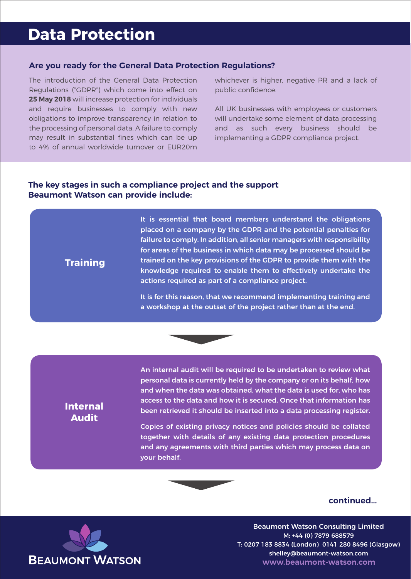# **Data Protection**

### **Are you ready for the General Data Protection Regulations?**

The introduction of the General Data Protection Regulations ("GDPR") which come into effect on **25 May 2018** will increase protection for individuals and require businesses to comply with new obligations to improve transparency in relation to the processing of personal data. A failure to comply may result in substantial fines which can be up to 4% of annual worldwide turnover or EUR20m

whichever is higher, negative PR and a lack of public confidence.

All UK businesses with employees or customers will undertake some element of data processing and as such every business should be implementing a GDPR compliance project.

## **The key stages in such a compliance project and the support Beaumont Watson can provide include:**

placed on a company by the GDPR and the potential penalties for failure to comply. In addition, all senior managers with responsibility for areas of the business in which data may be processed should be trained on the key provisions of the GDPR to provide them with the knowledge required to enable them to effectively undertake the actions required as part of a compliance project.

It is essential that board members understand the obligations

It is for this reason, that we recommend implementing training and a workshop at the outset of the project rather than at the end.



# **Internal Audit**

**Training**

An internal audit will be required to be undertaken to review what personal data is currently held by the company or on its behalf, how and when the data was obtained, what the data is used for, who has access to the data and how it is secured. Once that information has been retrieved it should be inserted into a data processing register.

Copies of existing privacy notices and policies should be collated together with details of any existing data protection procedures and any agreements with third parties which may process data on your behalf.



#### **continued...**

Beaumont Watson Consulting Limited M: +44 (0) 7879 688579 T: 0207 183 8834 (London) 0141 280 8496 (Glasgow) shelley@beaumont-watson.com **www.beaumont-watson.com**